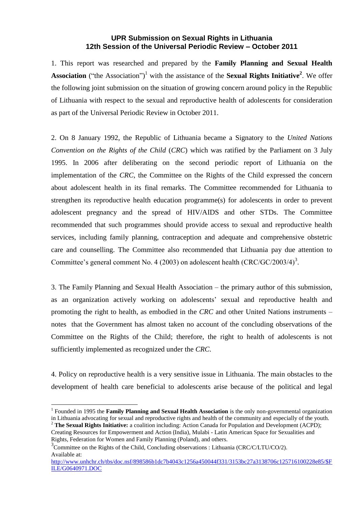## **UPR Submission on Sexual Rights in Lithuania 12th Session of the Universal Periodic Review – October 2011**

1. This report was researched and prepared by the **Family Planning and Sexual Health**  Association ("the Association")<sup>1</sup> with the assistance of the Sexual Rights Initiative<sup>2</sup>. We offer the following joint submission on the situation of growing concern around policy in the Republic of Lithuania with respect to the sexual and reproductive health of adolescents for consideration as part of the Universal Periodic Review in October 2011.

2. On 8 January 1992, the Republic of Lithuania became a Signatory to the *United Nations Convention on the Rights of the Child* (*CRC*) which was ratified by the Parliament on 3 July 1995. In 2006 after deliberating on the second periodic report of Lithuania on the implementation of the *CRC*, the Committee on the Rights of the Child expressed the concern about adolescent health in its final remarks. The Committee recommended for Lithuania to strengthen its reproductive health education programme(s) for adolescents in order to prevent adolescent pregnancy and the spread of HIV/AIDS and other STDs. The Committee recommended that such programmes should provide access to sexual and reproductive health services, including family planning, contraception and adequate and comprehensive obstetric care and counselling. The Committee also recommended that Lithuania pay due attention to Committee's general comment No. 4 (2003) on adolescent health  $(CRC/GC/2003/4)^3$ .

3. The Family Planning and Sexual Health Association – the primary author of this submission, as an organization actively working on adolescents' sexual and reproductive health and promoting the right to health, as embodied in the *CRC* and other United Nations instruments – notes that the Government has almost taken no account of the concluding observations of the Committee on the Rights of the Child; therefore, the right to health of adolescents is not sufficiently implemented as recognized under the *CRC*.

4. Policy on reproductive health is a very sensitive issue in Lithuania. The main obstacles to the development of health care beneficial to adolescents arise because of the political and legal

<u>.</u>

<sup>&</sup>lt;sup>1</sup> Founded in 1995 the **Family Planning and Sexual Health Association** is the only non-governmental organization in Lithuania advocating for sexual and reproductive rights and health of the community and especially of the youth.

<sup>&</sup>lt;sup>2</sup> **The Sexual Rights Initiative:** a coalition including: Action Canada for Population and Development (ACPD); Creating Resources for Empowerment and Action (India), Mulabi - Latin American Space for Sexualities and Rights, Federation for Women and Family Planning (Poland), and others.

<sup>&</sup>lt;sup>3</sup>Committee on the Rights of the Child, Concluding observations : Lithuania (CRC/C/LTU/CO/2). Available at:

[http://www.unhchr.ch/tbs/doc.nsf/898586b1dc7b4043c1256a450044f331/3153bc27a3138706c125716100228e85/\\$F](http://www.unhchr.ch/tbs/doc.nsf/898586b1dc7b4043c1256a450044f331/3153bc27a3138706c125716100228e85/$FILE/G0640971.DOC) [ILE/G0640971.DOC](http://www.unhchr.ch/tbs/doc.nsf/898586b1dc7b4043c1256a450044f331/3153bc27a3138706c125716100228e85/$FILE/G0640971.DOC)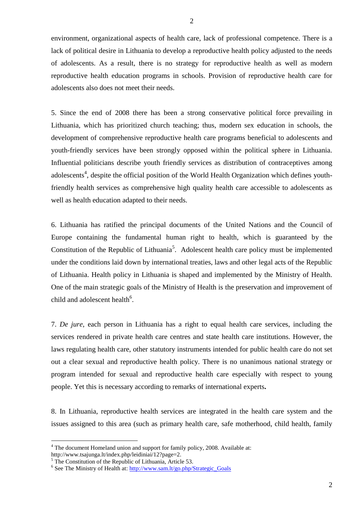environment, organizational aspects of health care, lack of professional competence. There is a lack of political desire in Lithuania to develop a reproductive health policy adjusted to the needs of adolescents. As a result, there is no strategy for reproductive health as well as modern reproductive health education programs in schools. Provision of reproductive health care for adolescents also does not meet their needs.

5. Since the end of 2008 there has been a strong conservative political force prevailing in Lithuania, which has prioritized church teaching; thus, modern sex education in schools, the development of comprehensive reproductive health care programs beneficial to adolescents and youth-friendly services have been strongly opposed within the political sphere in Lithuania. Influential politicians describe youth friendly services as distribution of contraceptives among adolescents<sup>4</sup>, despite the official position of the World Health Organization which defines youthfriendly health services as comprehensive high quality health care accessible to adolescents as well as health education adapted to their needs.

6. Lithuania has ratified the principal documents of the United Nations and the Council of Europe containing the fundamental human right to health, which is guaranteed by the Constitution of the Republic of Lithuania<sup>5</sup>. Adolescent health care policy must be implemented under the conditions laid down by international treaties, laws and other legal acts of the Republic of Lithuania. Health policy in Lithuania is shaped and implemented by the Ministry of Health. One of the main strategic goals of the Ministry of Health is the preservation and improvement of child and adolescent health<sup>6</sup>.

7. *De jure*, each person in Lithuania has a right to equal health care services, including the services rendered in private health care centres and state health care institutions. However, the laws regulating health care, other statutory instruments intended for public health care do not set out a clear sexual and reproductive health policy. There is no unanimous national strategy or program intended for sexual and reproductive health care especially with respect to young people. Yet this is necessary according to remarks of international experts**.**

8. In Lithuania, reproductive health services are integrated in the health care system and the issues assigned to this area (such as primary health care, safe motherhood, child health, family

1

<sup>&</sup>lt;sup>4</sup> The document Homeland union and support for family policy, 2008. Available at:

http://www.tsajunga.lt/index.php/leidiniai/12?page=2.

<sup>&</sup>lt;sup>5</sup> The Constitution of the Republic of Lithuania, Article 53.

<sup>&</sup>lt;sup>6</sup> See The Ministry of Health at: [http://www.sam.lt/go.php/Strategic\\_Goals](http://www.sam.lt/go.php/Strategic_Goals)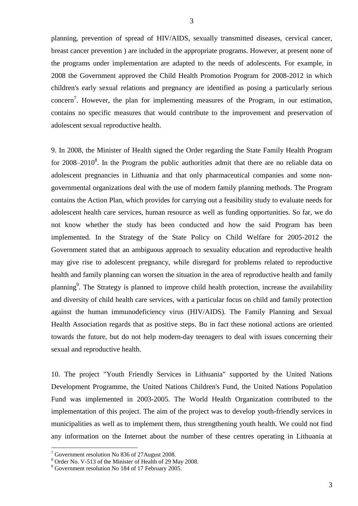planning, prevention of spread of HIV/AIDS, sexually transmitted diseases, cervical cancer, breast cancer prevention ) are included in the appropriate programs. However, at present none of the programs under implementation are adapted to the needs of adolescents. For example, in 2008 the Government approved the Child Health Promotion Program for 2008-2012 in which children's early sexual relations and pregnancy are identified as posing a particularly serious concern<sup>7</sup>. However, the plan for implementing measures of the Program, in our estimation, contains no specific measures that would contribute to the improvement and preservation of adolescent sexual reproductive health.

9. In 2008, the Minister of Health signed the Order regarding the State Family Health Program for  $2008-2010^8$ . In the Program the public authorities admit that there are no reliable data on adolescent pregnancies in Lithuania and that only pharmaceutical companies and some nongovernmental organizations deal with the use of modern family planning methods. The Program contains the Action Plan, which provides for carrying out a feasibility study to evaluate needs for adolescent health care services, human resource as well as funding opportunities. So far, we do not know whether the study has been conducted and how the said Program has been implemented. In the Strategy of the State Policy on Child Welfare for 2005-2012 the Government stated that an ambiguous approach to sexuality education and reproductive health may give rise to adolescent pregnancy, while disregard for problems related to reproductive health and family planning can worsen the situation in the area of reproductive health and family planning<sup>9</sup>. The Strategy is planned to improve child health protection, increase the availability and diversity of child health care services, with a particular focus on child and family protection against the human immunodeficiency virus (HIV/AIDS). The Family Planning and Sexual Health Association regards that as positive steps. Bu in fact these notional actions are oriented towards the future, but do not help modern-day teenagers to deal with issues concerning their sexual and reproductive health.

10. The project "Youth Friendly Services in Lithuania" supported by the United Nations Development Programme, the United Nations Children's Fund, the United Nations Population Fund was implemented in 2003-2005. The World Health Organization contributed to the implementation of this project. The aim of the project was to develop youth-friendly services in municipalities as well as to implement them, thus strengthening youth health. We could not find any information on the Internet about the number of these centres operating in Lithuania at

<u>.</u>

 $7$  Government resolution No 836 of 27 August 2008.

<sup>8</sup> Order No. V-513 of the Minister of Health of 29 May 2008.

<sup>&</sup>lt;sup>9</sup> Government resolution No 184 of 17 February 2005.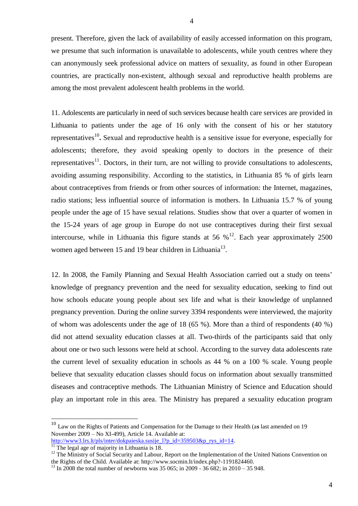present. Therefore, given the lack of availability of easily accessed information on this program, we presume that such information is unavailable to adolescents, while youth centres where they can anonymously seek professional advice on matters of sexuality, as found in other European countries, are practically non-existent, although sexual and reproductive health problems are among the most prevalent adolescent health problems in the world.

11. Adolescents are particularly in need of such services because health care services are provided in Lithuania to patients under the age of 16 only with the consent of his or her statutory representatives<sup>10</sup>. Sexual and reproductive health is a sensitive issue for everyone, especially for adolescents; therefore, they avoid speaking openly to doctors in the presence of their representatives<sup>11</sup>. Doctors, in their turn, are not willing to provide consultations to adolescents, avoiding assuming responsibility. According to the statistics, in Lithuania 85 % of girls learn about contraceptives from friends or from other sources of information: the Internet, magazines, radio stations; less influential source of information is mothers. In Lithuania 15.7 % of young people under the age of 15 have sexual relations. Studies show that over a quarter of women in the 15-24 years of age group in Europe do not use contraceptives during their first sexual intercourse, while in Lithuania this figure stands at 56  $\%$ <sup>12</sup>. Each year approximately 2500 women aged between 15 and 19 bear children in Lithuania<sup>13</sup>.

12. In 2008, the Family Planning and Sexual Health Association carried out a study on teens' knowledge of pregnancy prevention and the need for sexuality education, seeking to find out how schools educate young people about sex life and what is their knowledge of unplanned pregnancy prevention. During the online survey 3394 respondents were interviewed, the majority of whom was adolescents under the age of 18 (65 %). More than a third of respondents (40 %) did not attend sexuality education classes at all. Two-thirds of the participants said that only about one or two such lessons were held at school. According to the survey data adolescents rate the current level of sexuality education in schools as 44 % on a 100 % scale. Young people believe that sexuality education classes should focus on information about sexually transmitted diseases and contraceptive methods. The Lithuanian Ministry of Science and Education should play an important role in this area. The Ministry has prepared a sexuality education program

<u>.</u>

<sup>10</sup> Law on the Rights of Patients and Compensation for the Damage to their Health (a**s** last amended on 19 November 2009 – No XI-499), Article 14. Available at:

http://www3.lrs.lt/pls/inter/dokpaieska.susije 1?p\_id=359503&p\_rys\_id=14.

 $\frac{11}{11}$  The legal age of majority in Lithuania is 18.

<sup>&</sup>lt;sup>12</sup> The Ministry of Social Security and Labour, Report on the Implementation of the United Nations Convention on the Rights of the Child. Available at: http://www.socmin.lt/index.php?-1191824460.

<sup>&</sup>lt;sup>13</sup> In 2008 the total number of newborns was 35 065; in 2009 - 36 682; in 2010 – 35 948.